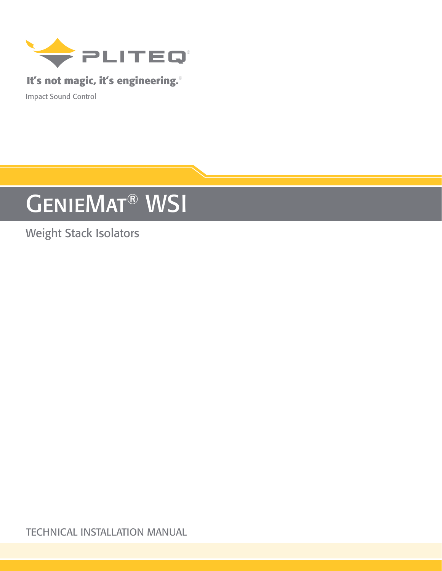

### **It's not magic, it's engineering.**®

Impact Sound Control

# GENIEMAT<sup>®</sup> WSI

# Weight Stack Isolators

TECHNICAL INSTALLATION MANUAL